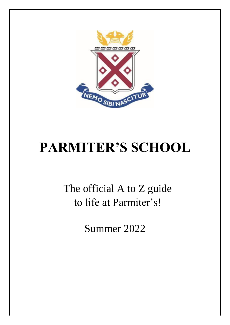

# **PARMITER'S SCHOOL**

The official A to Z guide to life at Parmiter's!

Summer 2022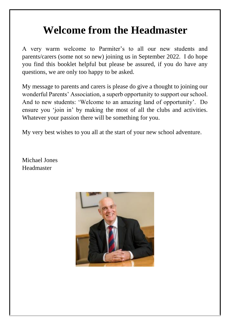### **Welcome from the Headmaster**

A very warm welcome to Parmiter's to all our new students and parents/carers (some not so new) joining us in September 2022. I do hope you find this booklet helpful but please be assured, if you do have any questions, we are only too happy to be asked.

My message to parents and carers is please do give a thought to joining our wonderful Parents' Association, a superb opportunity to support our school. And to new students: 'Welcome to an amazing land of opportunity'. Do ensure you 'join in' by making the most of all the clubs and activities. Whatever your passion there will be something for you.

My very best wishes to you all at the start of your new school adventure.

Michael Jones Headmaster

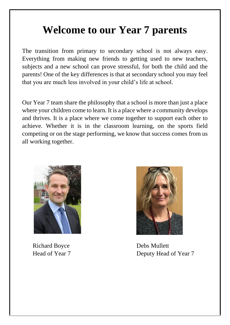### **Welcome to our Year 7 parents**

The transition from primary to secondary school is not always easy. Everything from making new friends to getting used to new teachers, subjects and a new school can prove stressful, for both the child and the parents! One of the key differences is that at secondary school you may feel that you are much less involved in your child's life at school.

Our Year 7 team share the philosophy that a school is more than just a place where your children come to learn. It is a place where a community develops and thrives. It is a place where we come together to support each other to achieve. Whether it is in the classroom learning, on the sports field competing or on the stage performing, we know that success comes from us all working together.



Richard Boyce Debs Mullett



Head of Year 7 Deputy Head of Year 7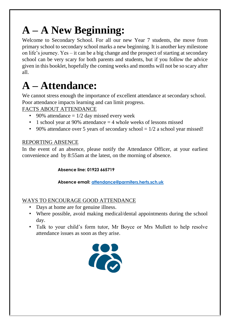## **A – A New Beginning:**

Welcome to Secondary School. For all our new Year 7 students, the move from primary school to secondary school marks a new beginning. It is another key milestone on life's journey. Yes – it can be a big change and the prospect of starting at secondary school can be very scary for both parents and students, but if you follow the advice given in this booklet, hopefully the coming weeks and months will not be so scary after all.

## **A – Attendance:**

We cannot stress enough the importance of excellent attendance at secondary school. Poor attendance impacts learning and can limit progress.

### FACTS ABOUT ATTENDANCE

- 90% attendance  $= 1/2$  day missed every week
- 1 school year at 90% attendance  $=$  4 whole weeks of lessons missed
- 90% attendance over 5 years of secondary school =  $1/2$  a school year missed!

#### REPORTING ABSENCE

In the event of an absence, please notify the Attendance Officer, at your earliest convenience and by 8:55am at the latest, on the morning of absence.

#### **Absence line: 01923 665719**

**Absence email: attendance@parmiters.herts.sch.uk**

### WAYS TO ENCOURAGE GOOD ATTENDANCE

- Days at home are for genuine illness.
- Where possible, avoid making medical/dental appointments during the school day.
- Talk to your child's form tutor, Mr Boyce or Mrs Mullett to help resolve attendance issues as soon as they arise.

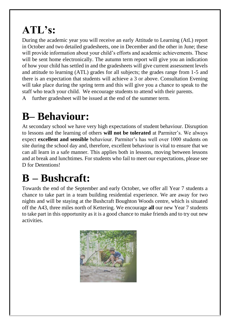# **ATL's:**

During the academic year you will receive an early Attitude to Learning (AtL) report in October and two detailed gradesheets, one in December and the other in June; these will provide information about your child's efforts and academic achievements. These will be sent home electronically. The autumn term report will give you an indication of how your child has settled in and the gradesheets will give current assessment levels and attitude to learning (ATL) grades for all subjects; the grades range from 1-5 and there is an expectation that students will achieve a 3 or above. Consultation Evening will take place during the spring term and this will give you a chance to speak to the staff who teach your child. We encourage students to attend with their parents.

A further gradesheet will be issued at the end of the summer term.

# **B– Behaviour:**

At secondary school we have very high expectations of student behaviour. Disruption to lessons and the learning of others **will not be tolerated** at Parmiter's. We always expect **excellent and sensible** behaviour. Parmiter's has well over 1000 students on site during the school day and, therefore, excellent behaviour is vital to ensure that we can all learn in a safe manner. This applies both in lessons, moving between lessons and at break and lunchtimes. For students who fail to meet our expectations, please see D for Detentions!

# **B – Bushcraft:**

Towards the end of the September and early October, we offer all Year 7 students a chance to take part in a team building residential experience. We are away for two nights and will be staying at the Bushcraft Boughton Woods centre, which is situated off the A43, three miles north of Kettering. We encourage **all** our new Year 7 students to take part in this opportunity as it is a good chance to make friends and to try out new activities.

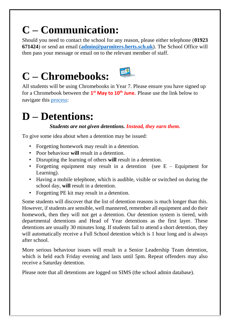## **C – Communication:**

Should you need to contact the school for any reason, please either telephone (**01923 671424**) or send an email (**admin@parmiters.herts.sch.uk**). The School Office will then pass your message or email on to the relevant member of staff.





All students will be using Chromebooks in Year 7. Please ensure you have signed up for a Chromebook between the **1 st May to 10th June.** Please use the link below to navigate this [process:](https://www.parmiters.herts.sch.uk/page/?title=Individual+Chromebook+Scheme&pid=84)

## **D – Detentions:**

### *Students are not given detentions. Instead, they earn them.*

To give some idea about when a detention may be issued:

- Forgetting homework may result in a detention.
- Poor behaviour **will** result in a detention.
- Disrupting the learning of others **will** result in a detention.
- Forgetting equipment may result in a detention (see  $E -$  Equipment for Learning).
- Having a mobile telephone, which is audible, visible or switched on during the school day, **will** result in a detention.
- Forgetting PE kit may result in a detention.

Some students will discover that the list of detention reasons is much longer than this. However, if students are sensible, well mannered, remember all equipment and do their homework, then they will not get a detention. Our detention system is tiered, with departmental detentions and Head of Year detentions as the first layer. These detentions are usually 30 minutes long. If students fail to attend a short detention, they will automatically receive a Full School detention which is 1 hour long and is always after school.

More serious behaviour issues will result in a Senior Leadership Team detention, which is held each Friday evening and lasts until 5pm. Repeat offenders may also receive a Saturday detention.

Please note that all detentions are logged on SIMS (the school admin database).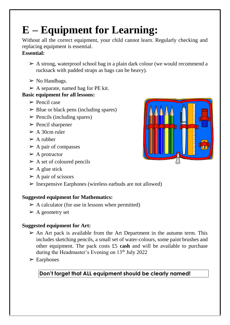# **E – Equipment for Learning:**

Without all the correct equipment, your child cannot learn. Regularly checking and replacing equipment is essential.

#### **Essential:**

- $\triangleright$  A strong, waterproof school bag in a plain dark colour (we would recommend a rucksack with padded straps as bags can be heavy).
- $\triangleright$  No Handbags.
- $\triangleright$  A separate, named bag for PE kit.

### **Basic equipment for all lessons:**

- $\triangleright$  Pencil case
- $\triangleright$  Blue or black pens (including spares)
- $\triangleright$  Pencils (including spares)
- $\triangleright$  Pencil sharpener
- $\geq$  A 30cm ruler
- $\triangleright$  A rubber
- $\triangleright$  A pair of compasses
- $\triangleright$  A protractor
- $\triangleright$  A set of coloured pencils
- $\triangleright$  A glue stick
- $\triangleright$  A pair of scissors
- $\triangleright$  Inexpensive Earphones (wireless earbuds are not allowed)

### **Suggested equipment for Mathematics:**

- $\triangleright$  A calculator (for use in lessons when permitted)
- $\triangleright$  A geometry set

### **Suggested equipment for Art:**

- $\triangleright$  An Art pack is available from the Art Department in the autumn term. This includes sketching pencils, a small set of water-colours, some paint brushes and other equipment. The pack costs £5 **cash** and will be available to purchase during the Headmaster's Evening on  $13<sup>th</sup>$  July 2022
- $\triangleright$  Earphones

**Don't forget that ALL equipment should be clearly named!** 

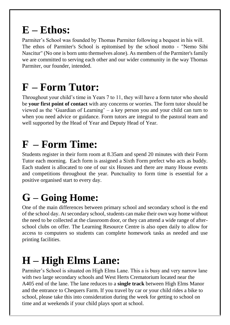## **E – Ethos:**

Parmiter's School was founded by Thomas Parmiter following a bequest in his will. The ethos of Parmiter's School is epitomised by the school motto - "Nemo Sibi Nascitur" (No one is born unto themselves alone). As members of the Parmiter's family we are committed to serving each other and our wider community in the way Thomas Parmiter, our founder, intended.

## **F – Form Tutor:**

Throughout your child's time in Years 7 to 11, they will have a form tutor who should be **your first point of contact** with any concerns or worries. The form tutor should be viewed as the 'Guardian of Learning' – a key person you and your child can turn to when you need advice or guidance. Form tutors are integral to the pastoral team and well supported by the Head of Year and Deputy Head of Year.

## **F – Form Time:**

Students register in their form room at 8.35am and spend 20 minutes with their Form Tutor each morning. Each form is assigned a Sixth Form prefect who acts as buddy. Each student is allocated to one of our six Houses and there are many House events and competitions throughout the year. Punctuality to form time is essential for a positive organised start to every day.

### **G – Going Home:**

One of the main differences between primary school and secondary school is the end of the school day. At secondary school, students can make their own way home without the need to be collected at the classroom door, or they can attend a wide range of afterschool clubs on offer. The Learning Resource Centre is also open daily to allow for access to computers so students can complete homework tasks as needed and use printing facilities.

## **H – High Elms Lane:**

Parmiter's School is situated on High Elms Lane. This a is busy and very narrow lane with two large secondary schools and West Herts Crematorium located near the A405 end of the lane. The lane reduces to a **single track** between High Elms Manor and the entrance to Chequers Farm. If you travel by car or your child rides a bike to school, please take this into consideration during the week for getting to school on time and at weekends if your child plays sport at school.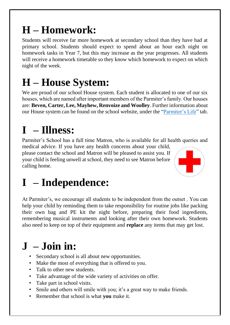## **H – Homework:**

Students will receive far more homework at secondary school than they have had at primary school. Students should expect to spend about an hour each night on homework tasks in Year 7, but this may increase as the year progresses. All students will receive a homework timetable so they know which homework to expect on which night of the week.

## **H – House System:**

We are proud of our school House system. Each student is allocated to one of our six houses, which are named after important members of the Parmiter's family. Our houses are: **Beven, Carter, Lee, Mayhew, Renvoize and Woolley**. Further information about our House system can be found on the school website, under the ["Parmiter's Life"](https://www.parmiters.herts.sch.uk/page/?title=House+System&pid=21) tab.

# **I – Illness:**

Parmiter's School has a full time Matron, who is available for all health queries and medical advice. If you have any health concerns about your child,

please contact the school and Matron will be pleased to assist you. If your child is feeling unwell at school, they need to see Matron before calling home.



# **I – Independence:**

At Parmiter's, we encourage all students to be independent from the outset . You can help your child by reminding them to take responsibility for routine jobs like packing their own bag and PE kit the night before, preparing their food ingredients, remembering musical instruments and looking after their own homework. Students also need to keep on top of their equipment and **replace** any items that may get lost.

### **J – Join in:**

- Secondary school is all about new opportunities.
- Make the most of everything that is offered to you.
- Talk to other new students.
- Take advantage of the wide variety of activities on offer.
- Take part in school visits.
- Smile and others will smile with you; it's a great way to make friends.
- Remember that school is what **you** make it.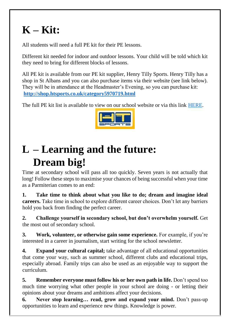### **K – Kit:**

All students will need a full PE kit for their PE lessons.

Different kit needed for indoor and outdoor lessons. Your child will be told which kit they need to bring for different blocks of lessons.

All PE kit is available from our PE kit supplier, Henry Tilly Sports. Henry Tilly has a shop in St Albans and you can also purchase items via their website (see link below). They will be in attendance at the Headmaster's Evening, so you can purchase kit: **<http://shop.htsports.co.uk/category5970719.html>**

The full PE kit list is available to view on our school website or via this lin[k](https://www.parmiters.herts.sch.uk/page/?title=Parents&pid=9) [HERE.](https://www.parmiters.herts.sch.uk/page/?title=Parents&pid=9)



## **L – Learning and the future: Dream big!**

Time at secondary school will pass all too quickly. Seven years is not actually that long! Follow these steps to maximise your chances of being successful when your time as a Parmiterian comes to an end:

**1. Take time to think about what you like to do; dream and imagine ideal careers.** Take time in school to explore different career choices. Don't let any barriers hold you back from finding the perfect career.

**2. Challenge yourself in secondary school, but don't overwhelm yourself.** Get the most out of secondary school.

**3. Work, volunteer, or otherwise gain some experience.** For example, if you're interested in a career in journalism, start writing for the school newsletter.

**4. Expand your cultural capital;** take advantage of all educational opportunities that come your way, such as summer school, different clubs and educational trips, especially abroad. Family trips can also be used as an enjoyable way to support the curriculum.

**5. Remember everyone must follow his or her own path in life.** Don't spend too much time worrying what other people in your school are doing - or letting their opinions about your dreams and ambitions affect your decisions.

**6. Never stop learning… read, grow and expand your mind.** Don't pass-up opportunities to learn and experience new things. Knowledge is power.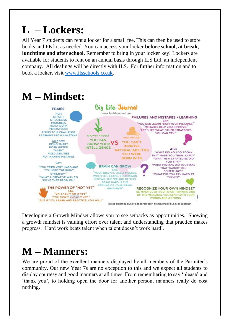### **L – Lockers:**

All Year 7 students can rent a locker for a small fee. This can then be used to store books and PE kit as needed. You can access your locker **before school, at break, lunchtime and after school.** Remember to bring in your locker key! Lockers are available for students to rent on an annual basis through ILS Ltd, an independent company. All dealings will be directly with ILS. For further information and to book a locker, visit [www.ilsschools.co.uk.](http://www.ilsschools.co.uk/)



Developing a Growth Mindset allows you to see setbacks as opportunities. Showing a growth mindset is valuing effort over talent and understanding that practice makes progress. 'Hard work beats talent when talent doesn't work hard'.

### **M – Manners:**

We are proud of the excellent manners displayed by all members of the Parmiter's community. Our new Year 7s are no exception to this and we expect all students to display courtesy and good manners at all times. From remembering to say 'please' and 'thank you', to holding open the door for another person, manners really do cost nothing.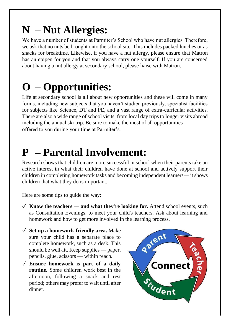## **N – Nut Allergies:**

We have a number of students at Parmiter's School who have nut allergies. Therefore, we ask that no nuts be brought onto the school site. This includes packed lunches or as snacks for breaktime. Likewise, if you have a nut allergy, please ensure that Matron has an epipen for you and that you always carry one yourself. If you are concerned about having a nut allergy at secondary school, please liaise with Matron.

# **O – Opportunities:**

Life at secondary school is all about new opportunities and these will come in many forms, including new subjects that you haven't studied previously, specialist facilities for subjects like Science, DT and PE, and a vast range of extra-curricular activities. There are also a wide range of school visits, from local day trips to longer visits abroad including the annual ski trip. Be sure to make the most of all opportunities offered to you during your time at Parmiter's.

### **P – Parental Involvement:**

Research shows that children are more successful in school when their parents take an active interest in what their children have done at school and actively support their children in completing homework tasks and becoming independent learners— it shows children that what they do is important.

Here are some tips to guide the way:

- ✓ **Know the teachers and what they're looking for.** Attend school events, such as Consultation Evenings, to meet your child's teachers. Ask about learning and homework and how to get more involved in the learning process.
- ✓ **Set up a homework-friendly area.** Make sure your child has a separate place to complete homework, such as a desk. This should be well-lit. Keep supplies — paper, pencils, glue, scissors — within reach.
- ✓ **Ensure homework is part of a daily routine.** Some children work best in the afternoon, following a snack and rest period; others may prefer to wait until after dinner.

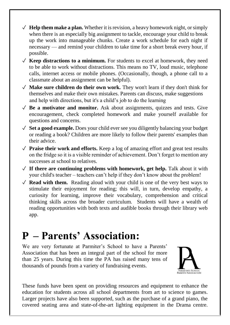- $\checkmark$  **Help them make a plan.** Whether it is revision, a heavy homework night, or simply when there is an especially big assignment to tackle, encourage your child to break up the work into manageable chunks. Create a work schedule for each night if necessary — and remind your children to take time for a short break every hour, if possible.
- $\checkmark$  **Keep distractions to a minimum.** For students to excel at homework, they need to be able to work without distractions. This means no TV, loud music, telephone calls, internet access or mobile phones. (Occasionally, though, a phone call to a classmate about an assignment can be helpful).
- ✓ **Make sure children do their own work.** They won't learn if they don't think for themselves and make their own mistakes. Parents can discuss, make suggestions and help with directions, but it's a child's job to do the learning
- ✓ **Be a motivator and monitor.** Ask about assignments, quizzes and tests. Give encouragement, check completed homework and make yourself available for questions and concerns.
- ✓ **Set a good example.** Does your child ever see you diligently balancing your budget or reading a book? Children are more likely to follow their parents' examples than their advice.
- ✓ **Praise their work and efforts.** Keep a log of amazing effort and great test results on the fridge so it is a visible reminder of achievement. Don't forget to mention any successes at school to relatives.
- $\checkmark$  If there are continuing problems with homework, get help. Talk about it with your child's teacher – teachers can't help if they don't know about the problem!
- $\sqrt{\ }$  **Read with them.** Reading aloud with your child is one of the very best ways to stimulate their enjoyment for reading; this will, in turn, develop empathy, a curiosity for learning, improve their vocabulary, comprehension and critical thinking skills across the broader curriculum. Students will have a wealth of reading opportunities with both texts and audible books through their library web app.

### **P – Parents' Association:**

We are very fortunate at Parmiter's School to have a Parents' Association that has been an integral part of the school for more than 25 years. During this time the PA has raised many tens of thousands of pounds from a variety of fundraising events.



These funds have been spent on providing resources and equipment to enhance the education for students across all school departments from art to science to games. Larger projects have also been supported, such as the purchase of a grand piano, the covered seating area and state-of-the-art lighting equipment in the Drama centre.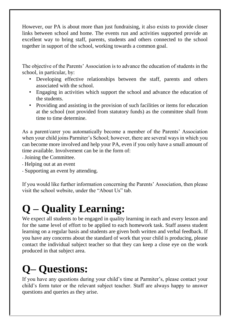However, our PA is about more than just fundraising, it also exists to provide closer links between school and home. The events run and activities supported provide an excellent way to bring staff, parents, students and others connected to the school together in support of the school, working towards a common goal.

The objective of the Parents' Association is to advance the education of students in the school, in particular, by:

- Developing effective relationships between the staff, parents and others associated with the school.
- Engaging in activities which support the school and advance the education of the students.
- Providing and assisting in the provision of such facilities or items for education at the school (not provided from statutory funds) as the committee shall from time to time determine.

As a parent/carer you automatically become a member of the Parents' Association when your child joins Parmiter's School; however, there are several ways in which you can become more involved and help your PA, even if you only have a small amount of time available. Involvement can be in the form of:

Joining the Committee.

- Helping out at an event
- Supporting an event by attending.

If you would like further information concerning the Parents' Association, then please visit the school website, under the "About Us" tab.

# **Q – Quality Learning:**

We expect all students to be engaged in quality learning in each and every lesson and for the same level of effort to be applied to each homework task. Staff assess student learning on a regular basis and students are given both written and verbal feedback. If you have any concerns about the standard of work that your child is producing, please contact the individual subject teacher so that they can keep a close eye on the work produced in that subject area.

# **Q– Questions:**

If you have any questions during your child's time at Parmiter's, please contact your child's form tutor or the relevant subject teacher. Staff are always happy to answer questions and queries as they arise.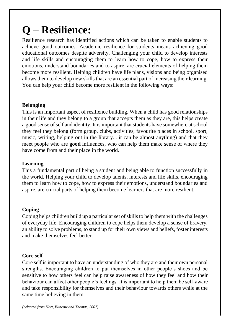# **Q – Resilience:**

Resilience research has identified actions which can be taken to enable students to achieve good outcomes. Academic resilience for students means achieving good educational outcomes despite adversity. Challenging your child to develop interests and life skills and encouraging them to learn how to cope, how to express their emotions, understand boundaries and to aspire, are crucial elements of helping them become more resilient. Helping children have life plans, visions and being organised allows them to develop new skills that are an essential part of increasing their learning. You can help your child become more resilient in the following ways:

#### **Belonging**

This is an important aspect of resilience building. When a child has good relationships in their life and they belong to a group that accepts them as they are, this helps create a good sense of self and identity. It is important that students have somewhere at school they feel they belong (form group, clubs, activities, favourite places in school, sport, music, writing, helping out in the library... it can be almost anything) and that they meet people who are **good** influences, who can help them make sense of where they have come from and their place in the world.

#### **Learning**

This a fundamental part of being a student and being able to function successfully in the world. Helping your child to develop talents, interests and life skills, encouraging them to learn how to cope, how to express their emotions, understand boundaries and aspire, are crucial parts of helping them become learners that are more resilient.

#### **Coping**

Coping helps children build up a particular set of skills to help them with the challenges of everyday life. Encouraging children to cope helps them develop a sense of bravery, an ability to solve problems, to stand up for their own views and beliefs, foster interests and make themselves feel better.

#### **Core self**

Core self is important to have an understanding of who they are and their own personal strengths. Encouraging children to put themselves in other people's shoes and be sensitive to how others feel can help raise awareness of how they feel and how their behaviour can affect other people's feelings. It is important to help them be self-aware and take responsibility for themselves and their behaviour towards others while at the same time believing in them.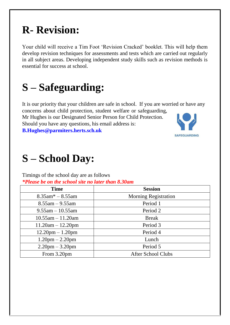### **R- Revision:**

Your child will receive a Tim Foot 'Revision Cracked' booklet. This will help them develop revision techniques for assessments and tests which are carried out regularly in all subject areas. Developing independent study skills such as revision methods is essential for success at school.

### **S – Safeguarding:**

It is our priority that your children are safe in school. If you are worried or have any concerns about child protection, student welfare or safeguarding,

Mr Hughes is our Designated Senior Person for Child Protection. Should you have any questions, his email address is: **B.Hughes@parmiters.herts.sch.uk** 



### **S – School Day:**

Timings of the school day are as follows *\*Please be on the school site no later than 8.30am* 

| <b>Time</b>                       | <b>Session</b>              |
|-----------------------------------|-----------------------------|
| $8.35$ am* $-8.55$ am             | <b>Morning Registration</b> |
| $8.55$ am $-9.55$ am              | Period 1                    |
| $9.55$ am $-10.55$ am             | Period 2                    |
| $10.55$ am $-11.20$ am            | <b>Break</b>                |
| $11.20am - 12.20pm$               | Period 3                    |
| $12.20$ pm $- 1.20$ pm            | Period 4                    |
| $1.20$ pm $- 2.20$ pm             | Lunch                       |
| $2.20 \text{pm} - 3.20 \text{pm}$ | Period 5                    |
| From 3.20pm                       | <b>After School Clubs</b>   |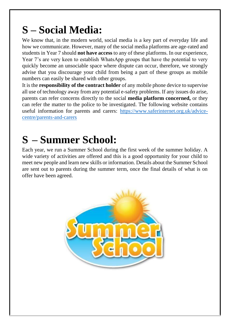## **S – Social Media:**

We know that, in the modern world, social media is a key part of everyday life and how we communicate. However, many of the social media platforms are age-rated and students in Year 7 should **not have access** to any of these platforms. In our experience, Year 7's are very keen to establish WhatsApp groups that have the potential to very quickly become an unsociable space where dispute can occur, therefore, we strongly advise that you discourage your child from being a part of these groups as mobile numbers can easily be shared with other groups.

It is the **responsibility of the contract holder** of any mobile phone device to supervise all use of technology away from any potential e-safety problems. If any issues do arise, parents can refer concerns directly to the social **media platform concerned,** or they can refer the matter to the police to be investigated. The following website contains useful information for parents and carers: [https://www.saferinternet.org.uk/advice](https://www.saferinternet.org.uk/advice-centre/parents-and-carers)[centre/parents-and-carers](https://www.saferinternet.org.uk/advice-centre/parents-and-carers)

## **S – Summer School:**

Each year, we run a Summer School during the first week of the summer holiday. A wide variety of activities are offered and this is a good opportunity for your child to meet new people and learn new skills or information. Details about the Summer School are sent out to parents during the summer term, once the final details of what is on offer have been agreed.

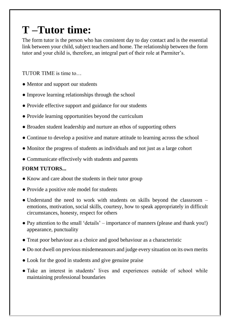### **T –Tutor time:**

The form tutor is the person who has consistent day to day contact and is the essential link between your child, subject teachers and home. The relationship between the form tutor and your child is, therefore, an integral part of their role at Parmiter's.

TUTOR TIME is time to…

- Mentor and support our students
- Improve learning relationships through the school
- Provide effective support and guidance for our students
- Provide learning opportunities beyond the curriculum
- Broaden student leadership and nurture an ethos of supporting others
- Continue to develop a positive and mature attitude to learning across the school
- Monitor the progress of students as individuals and not just as a large cohort
- Communicate effectively with students and parents

### **FORM TUTORS...**

- Know and care about the students in their tutor group
- Provide a positive role model for students
- Understand the need to work with students on skills beyond the classroom emotions, motivation, social skills, courtesy, how to speak appropriately in difficult circumstances, honesty, respect for others
- Pay attention to the small 'details' importance of manners (please and thank you!) appearance, punctuality
- Treat poor behaviour as a choice and good behaviour as a characteristic
- Do not dwell on previous misdemeanours and judge every situation on its own merits
- Look for the good in students and give genuine praise
- Take an interest in students' lives and experiences outside of school while maintaining professional boundaries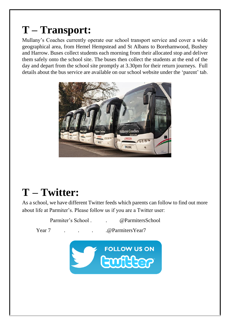## **T – Transport:**

Mullany's Coaches currently operate our school transport service and cover a wide geographical area, from Hemel Hempstead and St Albans to Borehamwood, Bushey and Harrow. Buses collect students each morning from their allocated stop and deliver them safely onto the school site. The buses then collect the students at the end of the day and depart from the school site promptly at 3.30pm for their return journeys. Full details about the bus service are available on our school website under the 'parent' tab.



### **T – Twitter:**

As a school, we have different Twitter feeds which parents can follow to find out more about life at Parmiter's. Please follow us if you are a Twitter user:

Parmiter's School . . . . @ParmitersSchool Year 7 . . . . . . . . @ Parmiters Year 7 **FOLLOW US ON** 

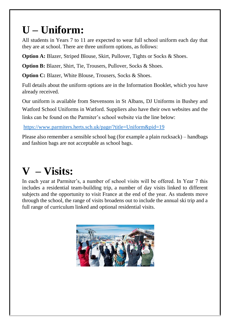## **U – Uniform:**

All students in Years 7 to 11 are expected to wear full school uniform each day that they are at school. There are three uniform options, as follows:

**Option A:** Blazer, Striped Blouse, Skirt, Pullover, Tights or Socks & Shoes.

**Option B:** Blazer, Shirt, Tie, Trousers, Pullover, Socks & Shoes.

**Option C:** Blazer, White Blouse, Trousers, Socks & Shoes.

Full details about the uniform options are in the Information Booklet, which you have already received.

Our uniform is available from Stevensons in St Albans, DJ Uniforms in Bushey and Watford School Uniforms in Watford. Suppliers also have their own websites and the links can be found on the Parmiter's school website via the line below:

<https://www.parmiters.herts.sch.uk/page/?title=Uniform&pid=19>

Please also remember a sensible school bag (for example a plain rucksack) – handbags and fashion bags are not acceptable as school bags.

### **V – Visits:**

In each year at Parmiter's, a number of school visits will be offered. In Year 7 this includes a residential team-building trip, a number of day visits linked to different subjects and the opportunity to visit France at the end of the year. As students move through the school, the range of visits broadens out to include the annual ski trip and a full range of curriculum linked and optional residential visits.

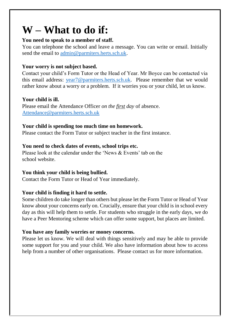### **W – What to do if:**

#### **You need to speak to a member of staff.**

You can telephone the school and leave a message. You can write or email. Initially send the email to [admin@parmiters.herts.sch.uk.](mailto:admin@parmiters.herts.sch.uk)

#### **Your worry is not subject based.**

Contact your child's Form Tutor or the Head of Year. Mr Boyce can be contacted via this email address: [year7@parmiters.herts.sch.uk.](mailto:year7@parmiters.herts.sch.uk) Please remember that we would rather know about a worry or a problem. If it worries you or your child, let us know.

#### **Your child is ill.**

Please email the Attendance Officer *on the first day* of absence. Attendance@parmiters.herts.sch.uk

#### **Your child is spending too much time on homework.**

Please contact the Form Tutor or subject teacher in the first instance.

#### **You need to check dates of events, school trips etc.**

Please look at the calendar under the 'News & Events' tab on the school website.

#### **You think your child is being bullied.**

Contact the Form Tutor or Head of Year immediately.

#### **Your child is finding it hard to settle.**

Some children do take longer than others but please let the Form Tutor or Head of Year know about your concerns early on. Crucially, ensure that your child is in school every day as this will help them to settle. For students who struggle in the early days, we do have a Peer Mentoring scheme which can offer some support, but places are limited.

#### **You have any family worries or money concerns.**

Please let us know. We will deal with things sensitively and may be able to provide some support for you and your child. We also have information about how to access help from a number of other organisations. Please contact us for more information.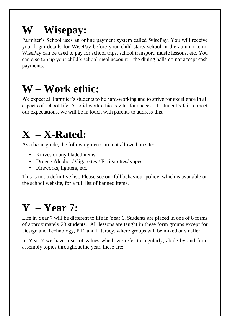## **W – Wisepay:**

Parmiter's School uses an online payment system called WisePay. You will receive your login details for WisePay before your child starts school in the autumn term. WisePay can be used to pay for school trips, school transport, music lessons, etc. You can also top up your child's school meal account – the dining halls do not accept cash payments.

### **W – Work ethic:**

We expect all Parmiter's students to be hard-working and to strive for excellence in all aspects of school life. A solid work ethic is vital for success. If student's fail to meet our expectations, we will be in touch with parents to address this.

### **X – X-Rated:**

As a basic guide, the following items are not allowed on site:

- Knives or any bladed items.
- Drugs / Alcohol / Cigarettes / E-cigarettes / vapes.
- Fireworks, lighters, etc.

This is not a definitive list. Please see our full behaviour policy, which is available on the school website, for a full list of banned items.

### **Y – Year 7:**

Life in Year 7 will be different to life in Year 6. Students are placed in one of 8 forms of approximately 28 students. All lessons are taught in these form groups except for Design and Technology, P.E. and Literacy, where groups will be mixed or smaller.

In Year 7 we have a set of values which we refer to regularly, abide by and form assembly topics throughout the year, these are: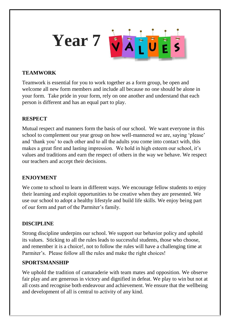

### **TEAMWORK**

Teamwork is essential for you to work together as a form group, be open and welcome all new form members and include all because no one should be alone in your form. Take pride in your form, rely on one another and understand that each person is different and has an equal part to play.

#### **RESPECT**

Mutual respect and manners form the basis of our school. We want everyone in this school to complement our year group on how well-mannered we are, saying 'please' and 'thank you' to each other and to all the adults you come into contact with, this makes a great first and lasting impression. We hold in high esteem our school, it's values and traditions and earn the respect of others in the way we behave. We respect our teachers and accept their decisions.

#### **ENJOYMENT**

We come to school to learn in different ways. We encourage fellow students to enjoy their learning and exploit opportunities to be creative when they are presented. We use our school to adopt a healthy lifestyle and build life skills. We enjoy being part of our form and part of the Parmiter's family.

### **DISCIPLINE**

Strong discipline underpins our school. We support our behavior policy and uphold its values. Sticking to all the rules leads to successful students, those who choose, and remember it is a choice!, not to follow the rules will have a challenging time at Parmiter's. Please follow all the rules and make the right choices!

#### **SPORTSMANSHIP**

We uphold the tradition of camaraderie with team mates and opposition. We observe fair play and are generous in victory and dignified in defeat. We play to win but not at all costs and recognise both endeavour and achievement. We ensure that the wellbeing and development of all is central to activity of any kind.